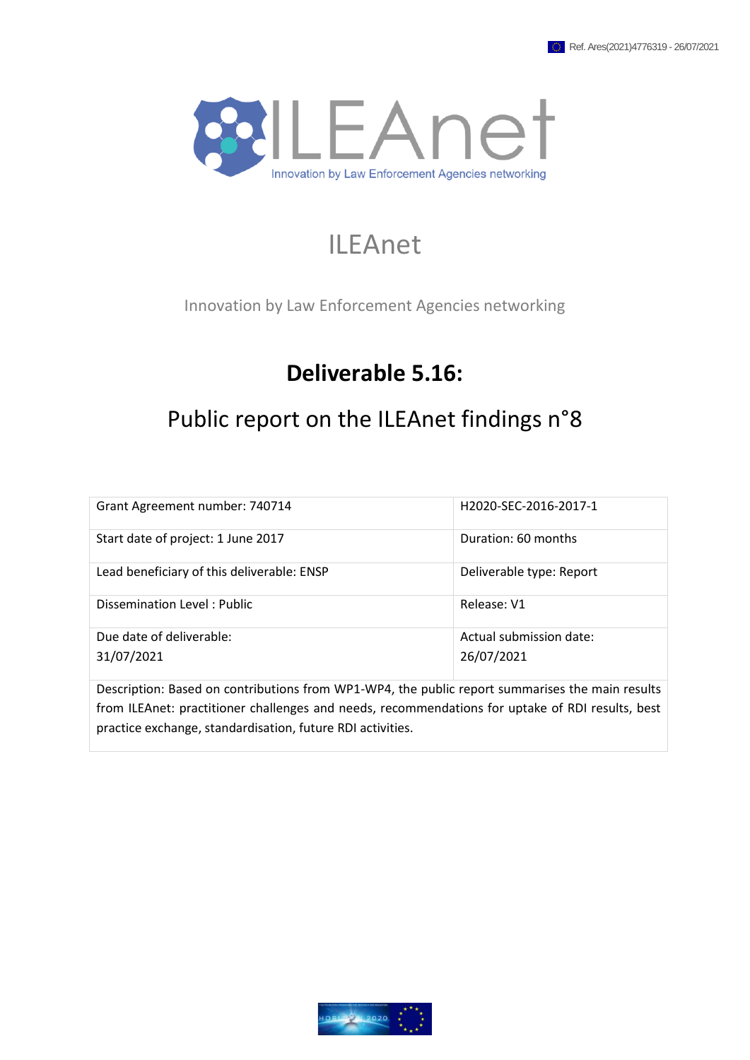

# ILEAnet

Innovation by Law Enforcement Agencies networking

# **Deliverable 5.16:**

# Public report on the ILEAnet findings n°8

| Grant Agreement number: 740714                                                                                                                         | H2020-SEC-2016-2017-1                 |  |
|--------------------------------------------------------------------------------------------------------------------------------------------------------|---------------------------------------|--|
| Start date of project: 1 June 2017                                                                                                                     | Duration: 60 months                   |  |
| Lead beneficiary of this deliverable: ENSP                                                                                                             | Deliverable type: Report              |  |
| Dissemination Level: Public                                                                                                                            | Release: V1                           |  |
| Due date of deliverable:<br>31/07/2021                                                                                                                 | Actual submission date:<br>26/07/2021 |  |
| <b>In</b> a contract of <b>In</b> a contract of the Latin <b>A sundature a</b> substantial contract of the contract of the substantial contract in the |                                       |  |

Description: Based on contributions from WP1-WP4, the public report summarises the main results from ILEAnet: practitioner challenges and needs, recommendations for uptake of RDI results, best practice exchange, standardisation, future RDI activities.

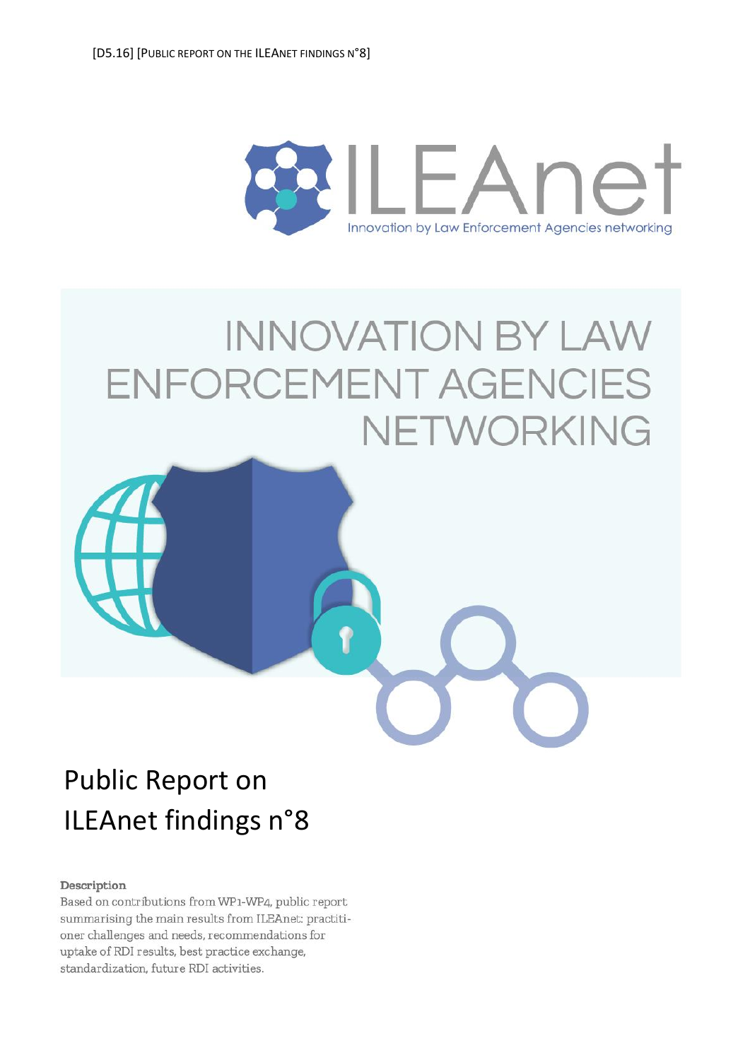

# **INNOVATION BY LAW** ENFORCEMENT AGENCIES NETWORKING



#### Description

Based on contributions from WP1-WP4, public report summarising the main results from ILEAnet: practitioner challenges and needs, recommendations for uptake of RDI results, best practice exchange, standardization, future RDI activities.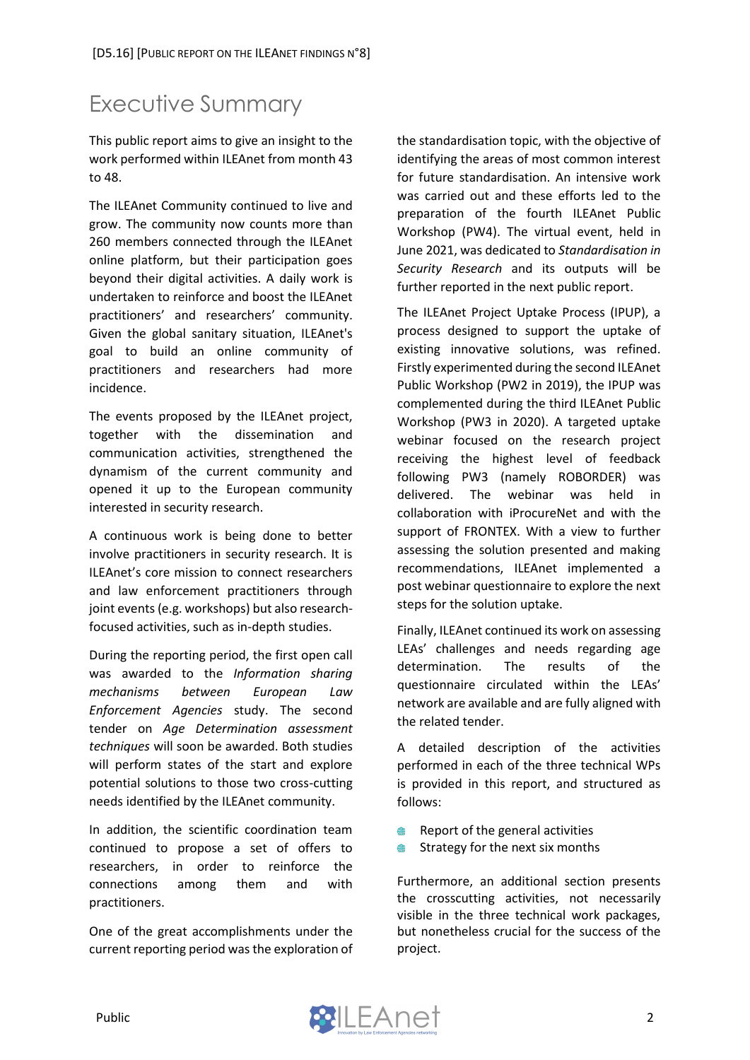# <span id="page-2-0"></span>Executive Summary

This public report aims to give an insight to the work performed within ILEAnet from month 43 to 48.

The ILEAnet Community continued to live and grow. The community now counts more than 260 members connected through the ILEAnet online platform, but their participation goes beyond their digital activities. A daily work is undertaken to reinforce and boost the ILEAnet practitioners' and researchers' community. Given the global sanitary situation, ILEAnet's goal to build an online community of practitioners and researchers had more incidence.

The events proposed by the ILEAnet project, together with the dissemination and communication activities, strengthened the dynamism of the current community and opened it up to the European community interested in security research.

A continuous work is being done to better involve practitioners in security research. It is ILEAnet's core mission to connect researchers and law enforcement practitioners through joint events (e.g. workshops) but also researchfocused activities, such as in-depth studies.

During the reporting period, the first open call was awarded to the *Information sharing mechanisms between European Law Enforcement Agencies* study. The second tender on *Age Determination assessment techniques* will soon be awarded. Both studies will perform states of the start and explore potential solutions to those two cross-cutting needs identified by the ILEAnet community.

In addition, the scientific coordination team continued to propose a set of offers to researchers, in order to reinforce the connections among them and with practitioners.

One of the great accomplishments under the current reporting period was the exploration of the standardisation topic, with the objective of identifying the areas of most common interest for future standardisation. An intensive work was carried out and these efforts led to the preparation of the fourth ILEAnet Public Workshop (PW4). The virtual event, held in June 2021, was dedicated to *Standardisation in Security Research* and its outputs will be further reported in the next public report.

The ILEAnet Project Uptake Process (IPUP), a process designed to support the uptake of existing innovative solutions, was refined. Firstly experimented during the second ILEAnet Public Workshop (PW2 in 2019), the IPUP was complemented during the third ILEAnet Public Workshop (PW3 in 2020). A targeted uptake webinar focused on the research project receiving the highest level of feedback following PW3 (namely ROBORDER) was delivered. The webinar was held in collaboration with iProcureNet and with the support of FRONTEX. With a view to further assessing the solution presented and making recommendations, ILEAnet implemented a post webinar questionnaire to explore the next steps for the solution uptake.

Finally, ILEAnet continued its work on assessing LEAs' challenges and needs regarding age determination. The results of the questionnaire circulated within the LEAs' network are available and are fully aligned with the related tender.

A detailed description of the activities performed in each of the three technical WPs is provided in this report, and structured as follows:

- $\oplus$ Report of the general activities
- Strategy for the next six months

Furthermore, an additional section presents the crosscutting activities, not necessarily visible in the three technical work packages, but nonetheless crucial for the success of the project.

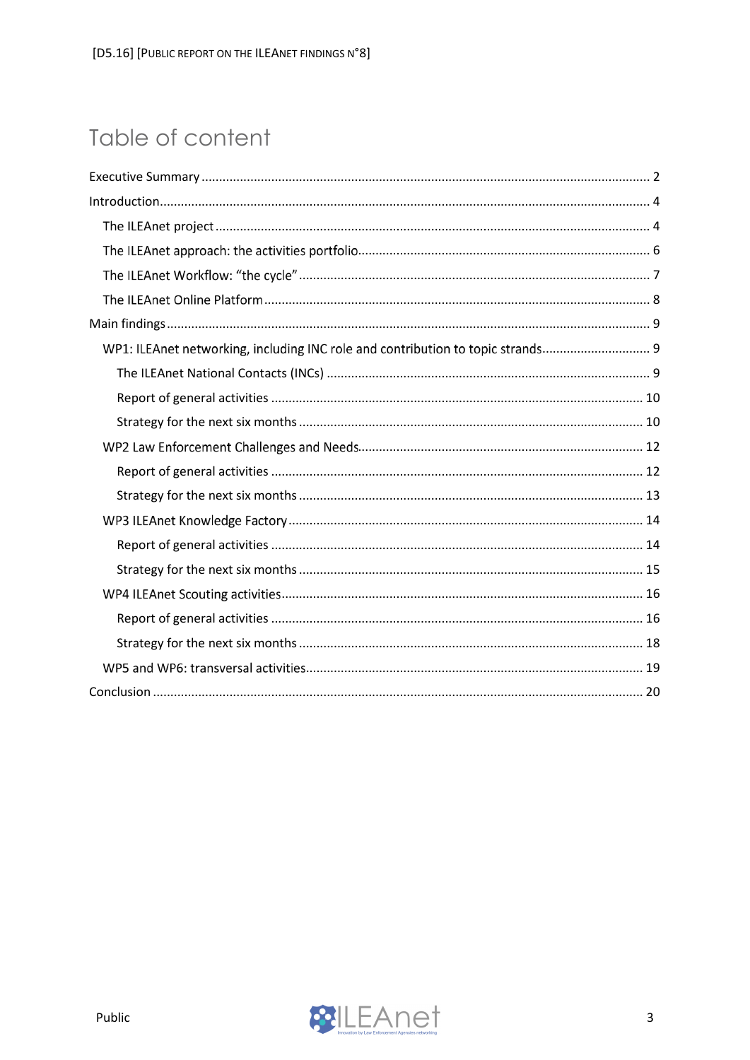# Table of content

| WP1: ILEAnet networking, including INC role and contribution to topic strands |  |
|-------------------------------------------------------------------------------|--|
|                                                                               |  |
|                                                                               |  |
|                                                                               |  |
|                                                                               |  |
|                                                                               |  |
|                                                                               |  |
|                                                                               |  |
|                                                                               |  |
|                                                                               |  |
|                                                                               |  |
|                                                                               |  |
|                                                                               |  |
|                                                                               |  |
|                                                                               |  |

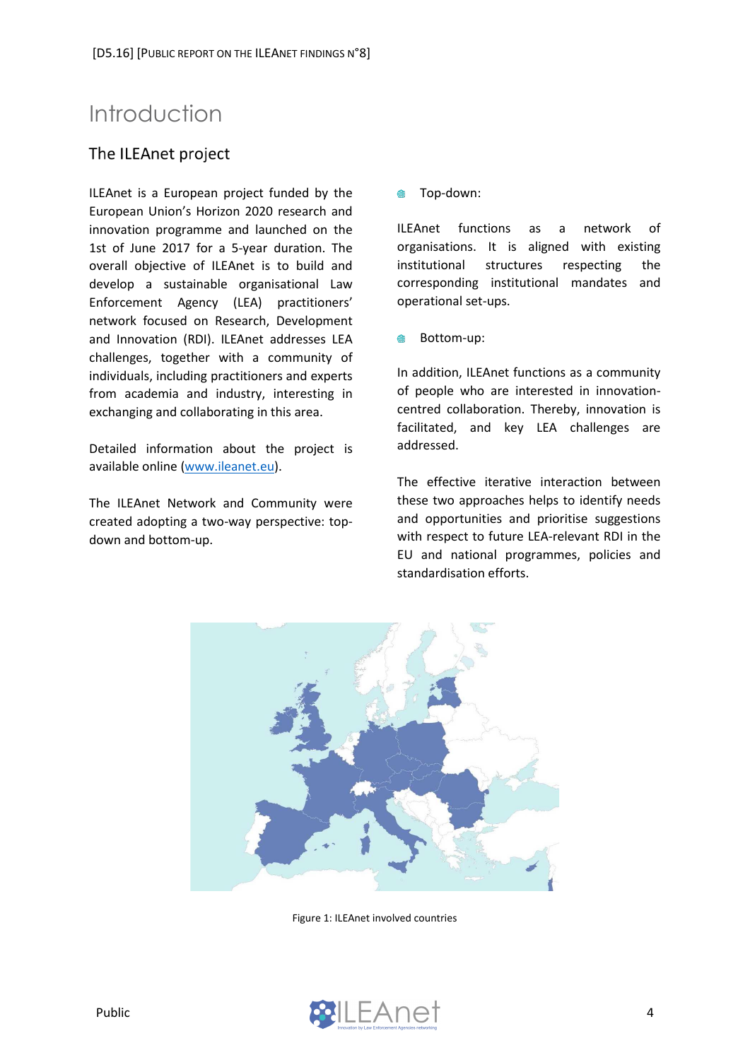# <span id="page-4-0"></span>Introduction

### <span id="page-4-1"></span>The ILEAnet project

ILEAnet is a European project funded by the European Union's Horizon 2020 research and innovation programme and launched on the 1st of June 2017 for a 5-year duration. The overall objective of ILEAnet is to build and develop a sustainable organisational Law Enforcement Agency (LEA) practitioners' network focused on Research, Development and Innovation (RDI). ILEAnet addresses LEA challenges, together with a community of individuals, including practitioners and experts from academia and industry, interesting in exchanging and collaborating in this area.

Detailed information about the project is available online [\(www.ileanet.eu\)](http://www.ileanet.eu/).

The ILEAnet Network and Community were created adopting a two-way perspective: topdown and bottom-up.

Top-down:  $\blacksquare$ 

ILEAnet functions as a network of organisations. It is aligned with existing institutional structures respecting the corresponding institutional mandates and operational set-ups.

Bottom-up:

In addition, ILEAnet functions as a community of people who are interested in innovationcentred collaboration. Thereby, innovation is facilitated, and key LEA challenges are addressed.

The effective iterative interaction between these two approaches helps to identify needs and opportunities and prioritise suggestions with respect to future LEA-relevant RDI in the EU and national programmes, policies and standardisation efforts.



Figure 1: ILEAnet involved countries

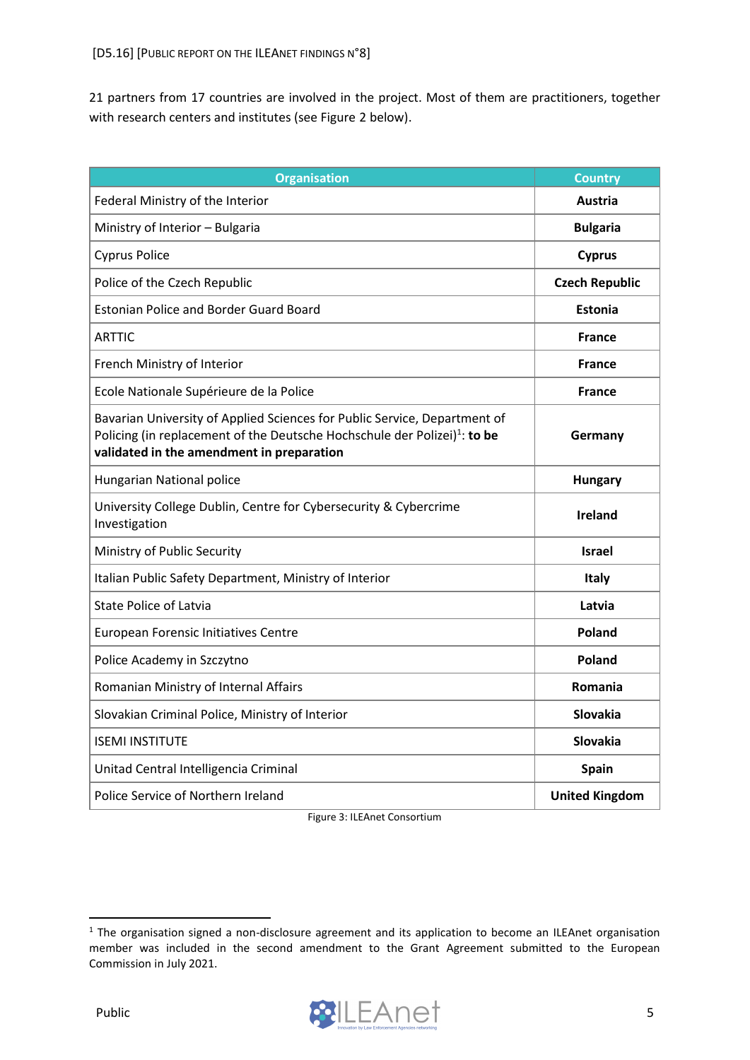21 partners from 17 countries are involved in the project. Most of them are practitioners, together with research centers and institutes (see Figure 2 below).

| <b>Organisation</b>                                                                                                                                                                                             | <b>Country</b>        |
|-----------------------------------------------------------------------------------------------------------------------------------------------------------------------------------------------------------------|-----------------------|
| Federal Ministry of the Interior                                                                                                                                                                                | Austria               |
| Ministry of Interior - Bulgaria                                                                                                                                                                                 | <b>Bulgaria</b>       |
| <b>Cyprus Police</b>                                                                                                                                                                                            | <b>Cyprus</b>         |
| Police of the Czech Republic                                                                                                                                                                                    | <b>Czech Republic</b> |
| <b>Estonian Police and Border Guard Board</b>                                                                                                                                                                   | <b>Estonia</b>        |
| <b>ARTTIC</b>                                                                                                                                                                                                   | <b>France</b>         |
| French Ministry of Interior                                                                                                                                                                                     | <b>France</b>         |
| Ecole Nationale Supérieure de la Police                                                                                                                                                                         | <b>France</b>         |
| Bavarian University of Applied Sciences for Public Service, Department of<br>Policing (in replacement of the Deutsche Hochschule der Polizei) <sup>1</sup> : to be<br>validated in the amendment in preparation | Germany               |
| Hungarian National police                                                                                                                                                                                       | <b>Hungary</b>        |
| University College Dublin, Centre for Cybersecurity & Cybercrime<br>Investigation                                                                                                                               | <b>Ireland</b>        |
| Ministry of Public Security                                                                                                                                                                                     | <b>Israel</b>         |
| Italian Public Safety Department, Ministry of Interior                                                                                                                                                          | Italy                 |
| <b>State Police of Latvia</b>                                                                                                                                                                                   | Latvia                |
| <b>European Forensic Initiatives Centre</b>                                                                                                                                                                     | Poland                |
| Police Academy in Szczytno                                                                                                                                                                                      | Poland                |
| Romanian Ministry of Internal Affairs                                                                                                                                                                           | <b>Romania</b>        |
| Slovakian Criminal Police, Ministry of Interior                                                                                                                                                                 | <b>Slovakia</b>       |
| <b>ISEMI INSTITUTE</b>                                                                                                                                                                                          | Slovakia              |
| Unitad Central Intelligencia Criminal                                                                                                                                                                           | Spain                 |
| Police Service of Northern Ireland                                                                                                                                                                              | <b>United Kingdom</b> |

Figure 3: ILEAnet Consortium

<sup>&</sup>lt;sup>1</sup> The organisation signed a non-disclosure agreement and its application to become an ILEAnet organisation member was included in the second amendment to the Grant Agreement submitted to the European Commission in July 2021.

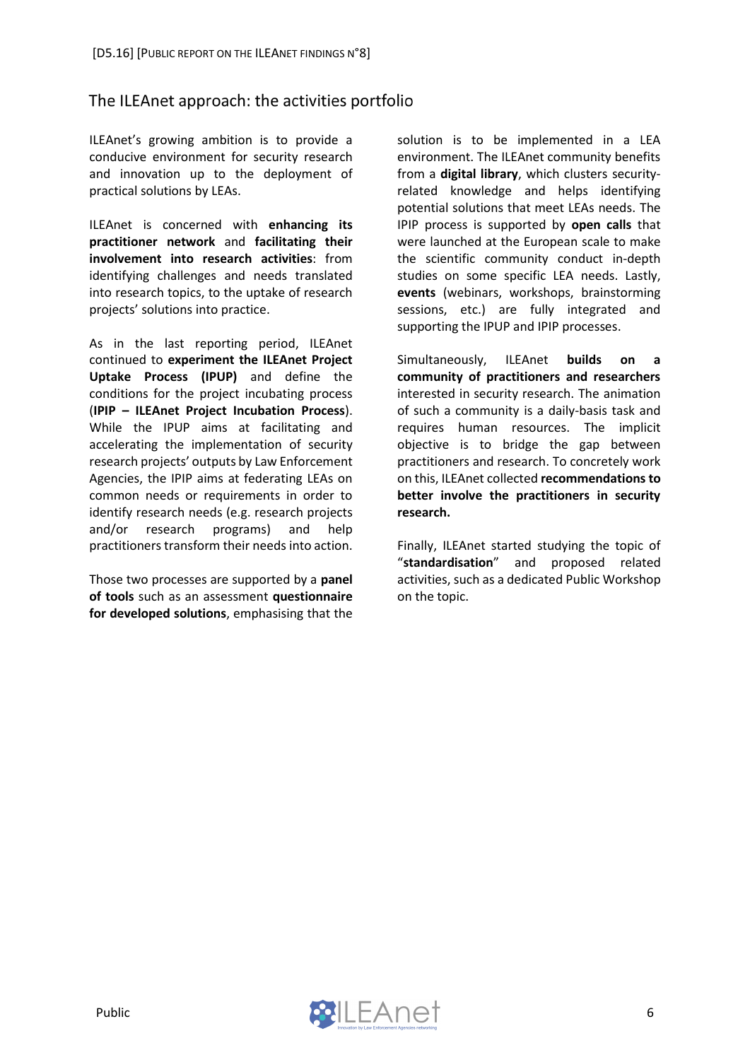### <span id="page-6-0"></span>The ILEAnet approach: the activities portfolio

ILEAnet's growing ambition is to provide a conducive environment for security research and innovation up to the deployment of practical solutions by LEAs.

ILEAnet is concerned with **enhancing its practitioner network** and **facilitating their involvement into research activities**: from identifying challenges and needs translated into research topics, to the uptake of research projects' solutions into practice.

As in the last reporting period, ILEAnet continued to **experiment the ILEAnet Project Uptake Process (IPUP)** and define the conditions for the project incubating process (**IPIP – ILEAnet Project Incubation Process**). While the IPUP aims at facilitating and accelerating the implementation of security research projects' outputs by Law Enforcement Agencies, the IPIP aims at federating LEAs on common needs or requirements in order to identify research needs (e.g. research projects and/or research programs) and help practitioners transform their needs into action.

Those two processes are supported by a **panel of tools** such as an assessment **questionnaire for developed solutions**, emphasising that the solution is to be implemented in a LEA environment. The ILEAnet community benefits from a **digital library**, which clusters securityrelated knowledge and helps identifying potential solutions that meet LEAs needs. The IPIP process is supported by **open calls** that were launched at the European scale to make the scientific community conduct in-depth studies on some specific LEA needs. Lastly, **events** (webinars, workshops, brainstorming sessions, etc.) are fully integrated and supporting the IPUP and IPIP processes.

Simultaneously, ILEAnet **builds on a community of practitioners and researchers** interested in security research. The animation of such a community is a daily-basis task and requires human resources. The implicit objective is to bridge the gap between practitioners and research. To concretely work on this, ILEAnet collected **recommendations to better involve the practitioners in security research.** 

Finally, ILEAnet started studying the topic of "**standardisation**" and proposed related activities, such as a dedicated Public Workshop on the topic.

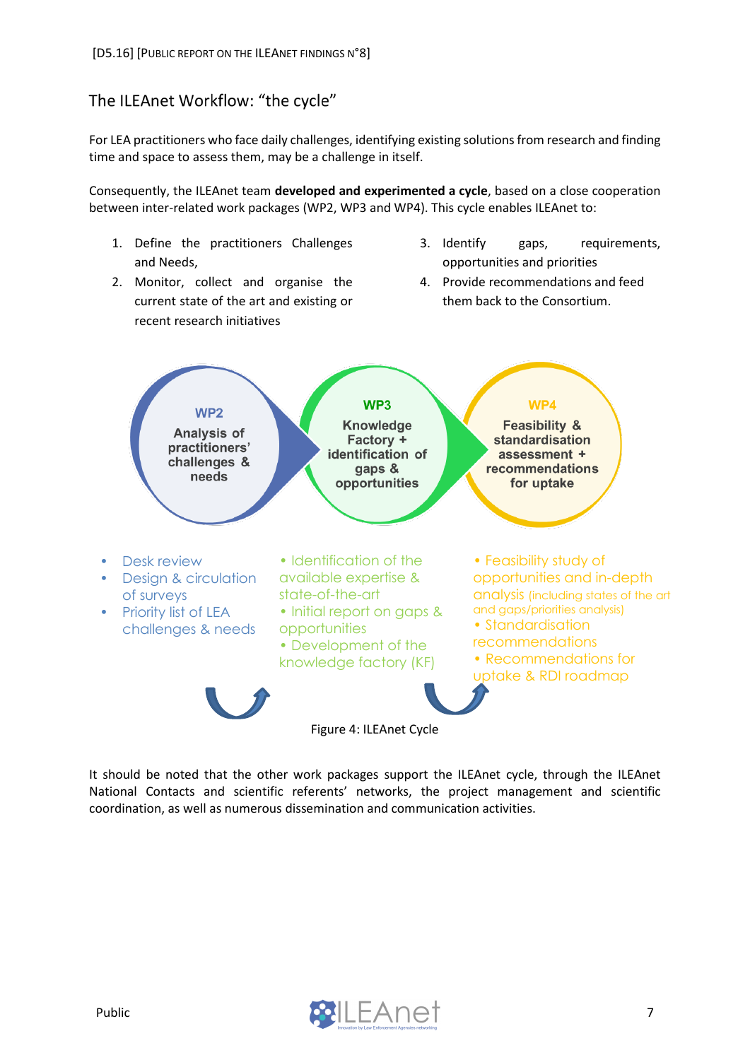### <span id="page-7-0"></span>The ILEAnet Workflow: "the cycle"

For LEA practitioners who face daily challenges, identifying existing solutions from research and finding time and space to assess them, may be a challenge in itself.

Consequently, the ILEAnet team **developed and experimented a cycle**, based on a close cooperation between inter-related work packages (WP2, WP3 and WP4). This cycle enables ILEAnet to:

- 1. Define the practitioners Challenges and Needs,
- 2. Monitor, collect and organise the current state of the art and existing or recent research initiatives
- 3. Identify gaps, requirements, opportunities and priorities
- 4. Provide recommendations and feed them back to the Consortium.



It should be noted that the other work packages support the ILEAnet cycle, through the ILEAnet National Contacts and scientific referents' networks, the project management and scientific coordination, as well as numerous dissemination and communication activities.

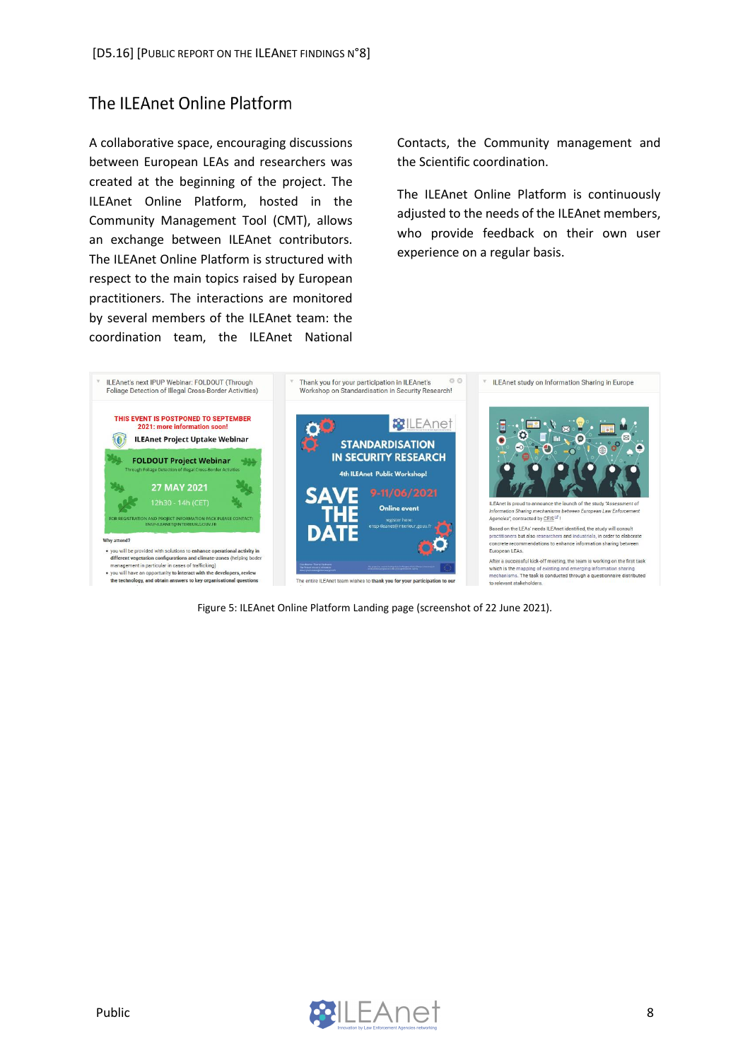## <span id="page-8-0"></span>The ILEAnet Online Platform

A collaborative space, encouraging discussions between European LEAs and researchers was created at the beginning of the project. The ILEAnet Online Platform, hosted in the Community Management Tool (CMT), allows an exchange between ILEAnet contributors. The ILEAnet Online Platform is structured with respect to the main topics raised by European practitioners. The interactions are monitored by several members of the ILEAnet team: the coordination team, the ILEAnet National

Contacts, the Community management and the Scientific coordination.

The ILEAnet Online Platform is continuously adjusted to the needs of the ILEAnet members, who provide feedback on their own user experience on a regular basis.



Figure 5: ILEAnet Online Platform Landing page (screenshot of 22 June 2021).

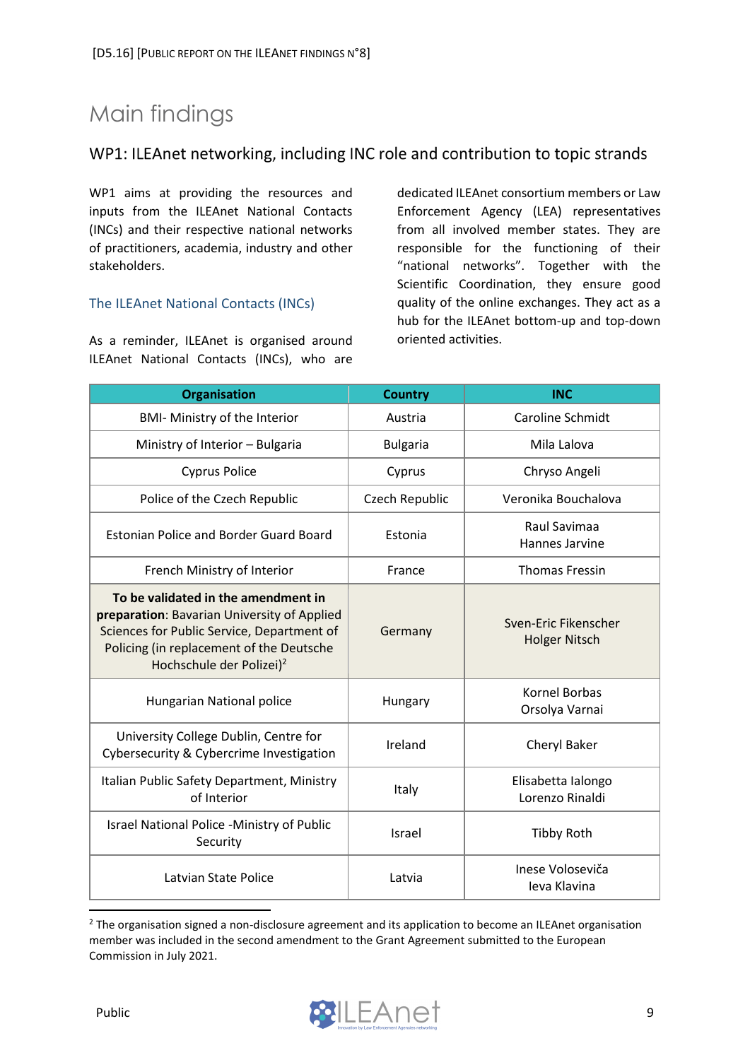# <span id="page-9-0"></span>Main findings

### <span id="page-9-1"></span>WP1: ILEAnet networking, including INC role and contribution to topic strands

WP1 aims at providing the resources and inputs from the ILEAnet National Contacts (INCs) and their respective national networks of practitioners, academia, industry and other stakeholders.

#### <span id="page-9-2"></span>The ILEAnet National Contacts (INCs)

As a reminder, ILEAnet is organised around ILEAnet National Contacts (INCs), who are dedicated ILEAnet consortium members or Law Enforcement Agency (LEA) representatives from all involved member states. They are responsible for the functioning of their "national networks". Together with the Scientific Coordination, they ensure good quality of the online exchanges. They act as a hub for the ILEAnet bottom-up and top-down oriented activities.

| <b>Organisation</b>                                                                                                                                                                                                  | <b>Country</b>  | <b>INC</b>                                   |
|----------------------------------------------------------------------------------------------------------------------------------------------------------------------------------------------------------------------|-----------------|----------------------------------------------|
| <b>BMI- Ministry of the Interior</b>                                                                                                                                                                                 | Austria         | <b>Caroline Schmidt</b>                      |
| Ministry of Interior - Bulgaria                                                                                                                                                                                      | <b>Bulgaria</b> | Mila Lalova                                  |
| <b>Cyprus Police</b>                                                                                                                                                                                                 | Cyprus          | Chryso Angeli                                |
| Police of the Czech Republic                                                                                                                                                                                         | Czech Republic  | Veronika Bouchalova                          |
| <b>Estonian Police and Border Guard Board</b>                                                                                                                                                                        | Estonia         | Raul Savimaa<br>Hannes Jarvine               |
| French Ministry of Interior                                                                                                                                                                                          | France          | <b>Thomas Fressin</b>                        |
| To be validated in the amendment in<br>preparation: Bavarian University of Applied<br>Sciences for Public Service, Department of<br>Policing (in replacement of the Deutsche<br>Hochschule der Polizei) <sup>2</sup> | Germany         | Sven-Eric Fikenscher<br><b>Holger Nitsch</b> |
| Hungarian National police                                                                                                                                                                                            | Hungary         | Kornel Borbas<br>Orsolya Varnai              |
| University College Dublin, Centre for<br>Cybersecurity & Cybercrime Investigation                                                                                                                                    | Ireland         | Cheryl Baker                                 |
| Italian Public Safety Department, Ministry<br>of Interior                                                                                                                                                            | Italy           | Elisabetta Ialongo<br>Lorenzo Rinaldi        |
| Israel National Police -Ministry of Public<br>Security                                                                                                                                                               | Israel          | <b>Tibby Roth</b>                            |
| Latvian State Police                                                                                                                                                                                                 | Latvia          | Inese Voloseviča<br><b>Ieva Klavina</b>      |

<sup>&</sup>lt;sup>2</sup> The organisation signed a non-disclosure agreement and its application to become an ILEAnet organisation member was included in the second amendment to the Grant Agreement submitted to the European Commission in July 2021.

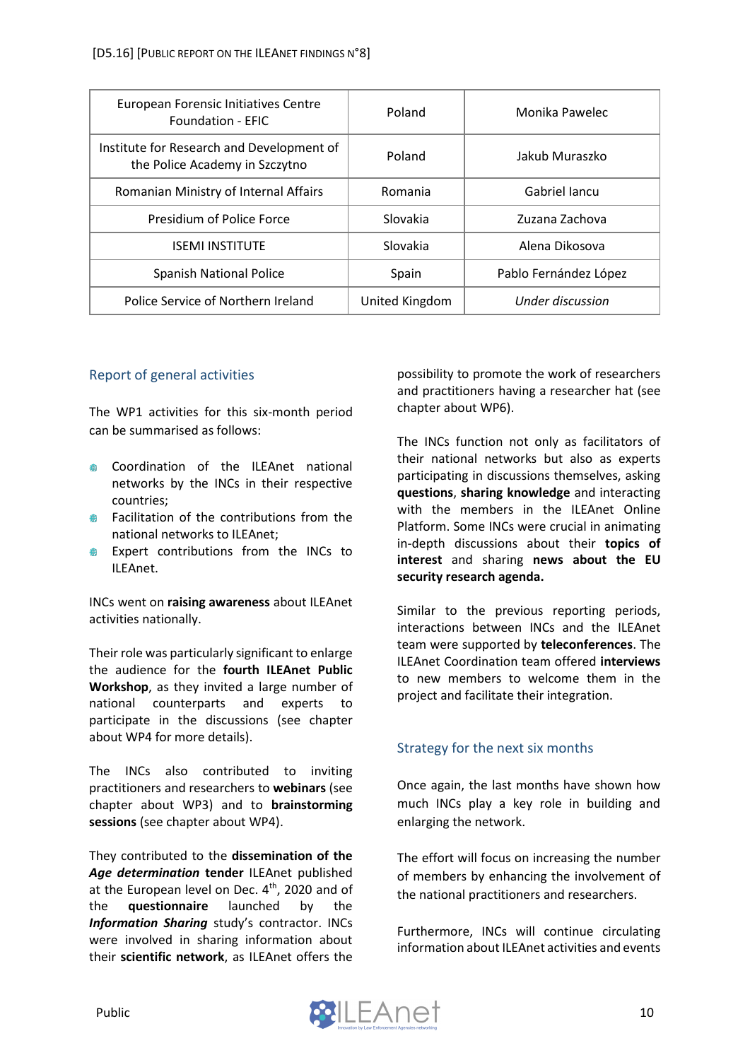| European Forensic Initiatives Centre<br><b>Foundation - EFIC</b>            | Poland         | Monika Pawelec        |
|-----------------------------------------------------------------------------|----------------|-----------------------|
| Institute for Research and Development of<br>the Police Academy in Szczytno | Poland         | Jakub Muraszko        |
| Romanian Ministry of Internal Affairs                                       | Romania        | Gabriel Jancu         |
| Presidium of Police Force                                                   | Slovakia       | Zuzana Zachova        |
| <b>ISEMI INSTITUTE</b>                                                      | Slovakia       | Alena Dikosova        |
| <b>Spanish National Police</b>                                              | Spain          | Pablo Fernández López |
| Police Service of Northern Ireland                                          | United Kingdom | Under discussion      |

#### <span id="page-10-0"></span>Report of general activities

The WP1 activities for this six-month period can be summarised as follows:

- Coordination of the ILEAnet national networks by the INCs in their respective countries;
- **EXECUTE:** Facilitation of the contributions from the national networks to ILEAnet;
- **Expert contributions from the INCs to** ILEAnet.

INCs went on **raising awareness** about ILEAnet activities nationally.

Their role was particularly significant to enlarge the audience for the **fourth ILEAnet Public Workshop**, as they invited a large number of national counterparts and experts to participate in the discussions (see chapter about WP4 for more details).

The INCs also contributed to inviting practitioners and researchers to **webinars** (see chapter about WP3) and to **brainstorming sessions** (see chapter about WP4).

They contributed to the **dissemination of the**  *Age determination* **tender** ILEAnet published at the European level on Dec. 4<sup>th</sup>, 2020 and of the **questionnaire** launched by the *Information Sharing* study's contractor. INCs were involved in sharing information about their **scientific network**, as ILEAnet offers the

possibility to promote the work of researchers and practitioners having a researcher hat (see chapter about WP6).

The INCs function not only as facilitators of their national networks but also as experts participating in discussions themselves, asking **questions**, **sharing knowledge** and interacting with the members in the ILEAnet Online Platform. Some INCs were crucial in animating in-depth discussions about their **topics of interest** and sharing **news about the EU security research agenda.** 

Similar to the previous reporting periods, interactions between INCs and the ILEAnet team were supported by **teleconferences**. The ILEAnet Coordination team offered **interviews** to new members to welcome them in the project and facilitate their integration.

#### <span id="page-10-1"></span>Strategy for the next six months

Once again, the last months have shown how much INCs play a key role in building and enlarging the network.

The effort will focus on increasing the number of members by enhancing the involvement of the national practitioners and researchers.

Furthermore, INCs will continue circulating information about ILEAnet activities and events

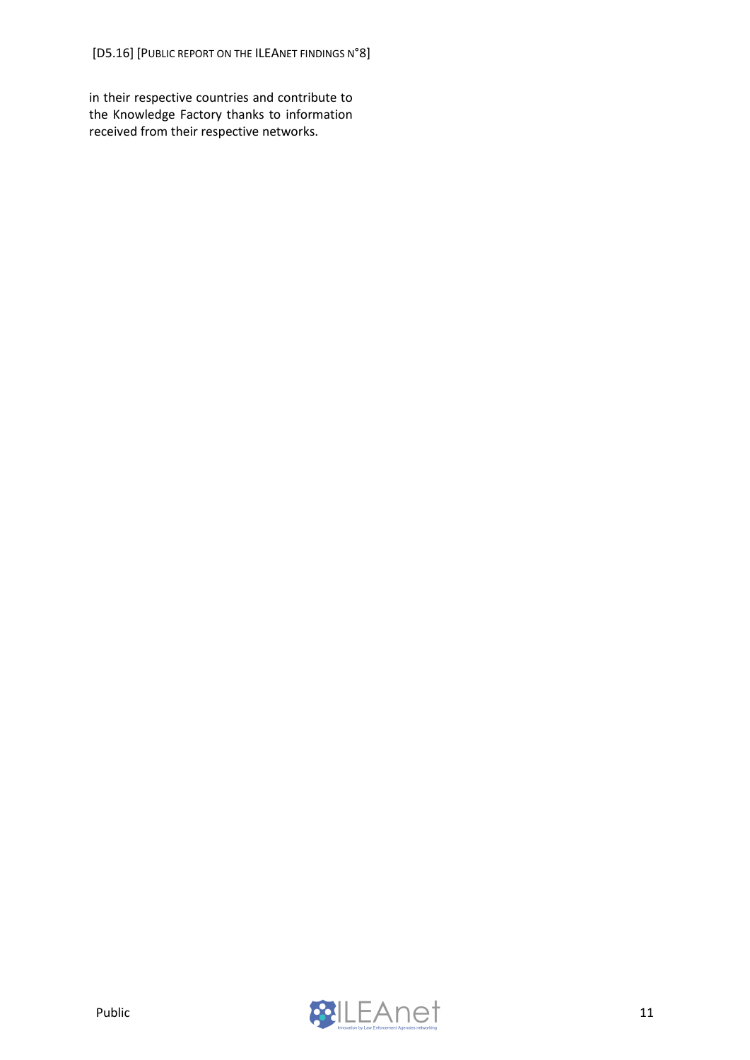in their respective countries and contribute to the Knowledge Factory thanks to information received from their respective networks.

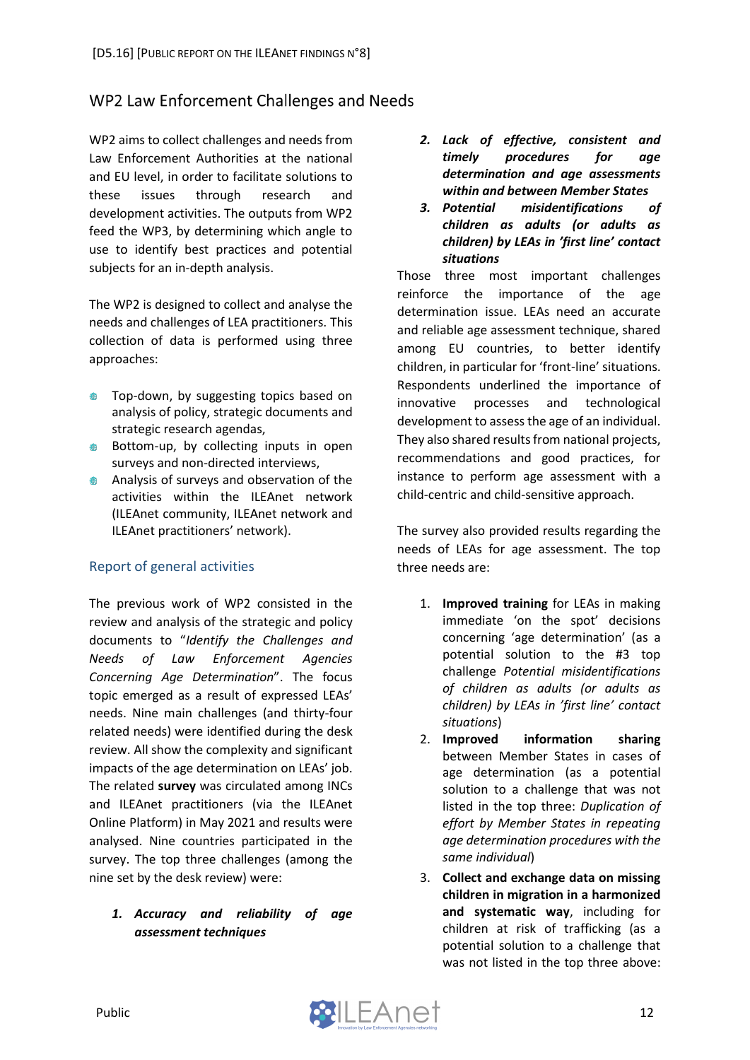### <span id="page-12-0"></span>WP2 Law Enforcement Challenges and Needs

WP2 aims to collect challenges and needs from Law Enforcement Authorities at the national and EU level, in order to facilitate solutions to these issues through research and development activities. The outputs from WP2 feed the WP3, by determining which angle to use to identify best practices and potential subjects for an in-depth analysis.

The WP2 is designed to collect and analyse the needs and challenges of LEA practitioners. This collection of data is performed using three approaches:

- Top-down, by suggesting topics based on  $\blacksquare$ analysis of policy, strategic documents and strategic research agendas,
- Bottom-up, by collecting inputs in open surveys and non-directed interviews,
- **Analysis of surveys and observation of the** activities within the ILEAnet network (ILEAnet community, ILEAnet network and ILEAnet practitioners' network).

#### <span id="page-12-1"></span>Report of general activities

The previous work of WP2 consisted in the review and analysis of the strategic and policy documents to "*Identify the Challenges and Needs of Law Enforcement Agencies Concerning Age Determination*". The focus topic emerged as a result of expressed LEAs' needs. Nine main challenges (and thirty-four related needs) were identified during the desk review. All show the complexity and significant impacts of the age determination on LEAs' job. The related **survey** was circulated among INCs and ILEAnet practitioners (via the ILEAnet Online Platform) in May 2021 and results were analysed. Nine countries participated in the survey. The top three challenges (among the nine set by the desk review) were:

#### *1. Accuracy and reliability of age assessment techniques*

- *2. Lack of effective, consistent and timely procedures for age determination and age assessments within and between Member States*
- *3. Potential misidentifications of children as adults (or adults as children) by LEAs in 'first line' contact situations*

Those three most important challenges reinforce the importance of the age determination issue. LEAs need an accurate and reliable age assessment technique, shared among EU countries, to better identify children, in particular for 'front-line' situations. Respondents underlined the importance of innovative processes and technological development to assess the age of an individual. They also shared results from national projects, recommendations and good practices, for instance to perform age assessment with a child-centric and child-sensitive approach.

The survey also provided results regarding the needs of LEAs for age assessment. The top three needs are:

- 1. **Improved training** for LEAs in making immediate 'on the spot' decisions concerning 'age determination' (as a potential solution to the #3 top challenge *Potential misidentifications of children as adults (or adults as children) by LEAs in 'first line' contact situations*)
- 2. **Improved information sharing** between Member States in cases of age determination (as a potential solution to a challenge that was not listed in the top three: *Duplication of effort by Member States in repeating age determination procedures with the same individual*)
- 3. **Collect and exchange data on missing children in migration in a harmonized and systematic way**, including for children at risk of trafficking (as a potential solution to a challenge that was not listed in the top three above: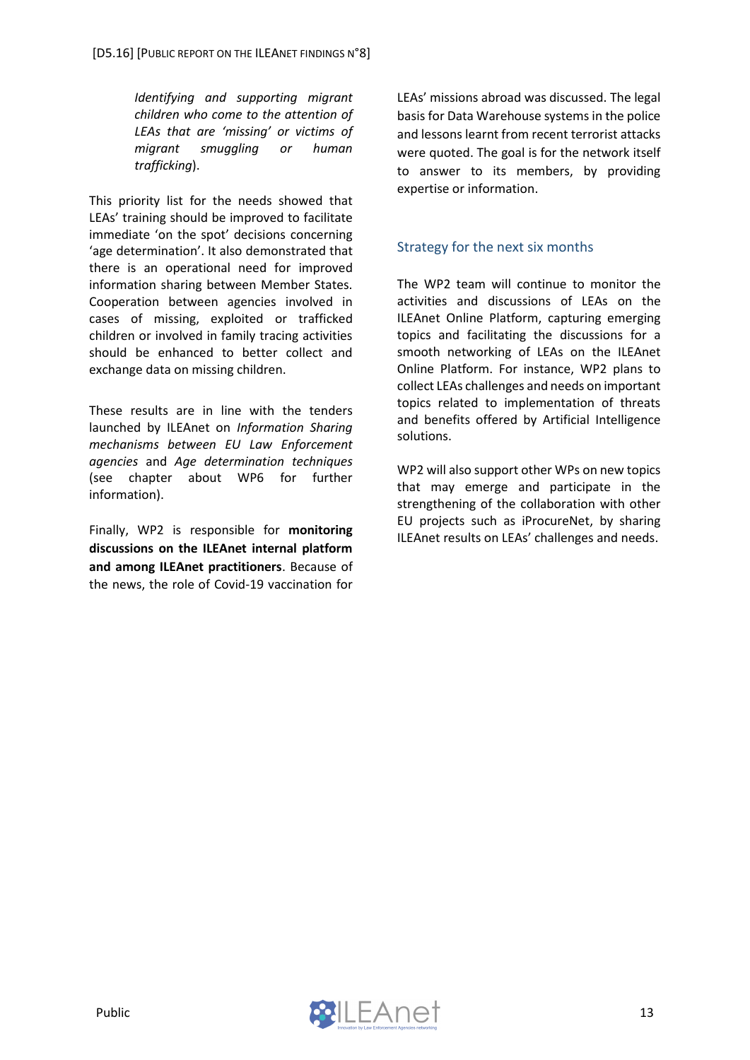*Identifying and supporting migrant children who come to the attention of LEAs that are 'missing' or victims of migrant smuggling or human trafficking*).

This priority list for the needs showed that LEAs' training should be improved to facilitate immediate 'on the spot' decisions concerning 'age determination'. It also demonstrated that there is an operational need for improved information sharing between Member States. Cooperation between agencies involved in cases of missing, exploited or trafficked children or involved in family tracing activities should be enhanced to better collect and exchange data on missing children.

These results are in line with the tenders launched by ILEAnet on *Information Sharing mechanisms between EU Law Enforcement agencies* and *Age determination techniques* (see chapter about WP6 for further information).

Finally, WP2 is responsible for **monitoring discussions on the ILEAnet internal platform and among ILEAnet practitioners**. Because of the news, the role of Covid-19 vaccination for LEAs' missions abroad was discussed. The legal basis for Data Warehouse systems in the police and lessons learnt from recent terrorist attacks were quoted. The goal is for the network itself to answer to its members, by providing expertise or information.

#### <span id="page-13-0"></span>Strategy for the next six months

The WP2 team will continue to monitor the activities and discussions of LEAs on the ILEAnet Online Platform, capturing emerging topics and facilitating the discussions for a smooth networking of LEAs on the ILEAnet Online Platform. For instance, WP2 plans to collect LEAs challenges and needs on important topics related to implementation of threats and benefits offered by Artificial Intelligence solutions.

WP2 will also support other WPs on new topics that may emerge and participate in the strengthening of the collaboration with other EU projects such as iProcureNet, by sharing ILEAnet results on LEAs' challenges and needs.

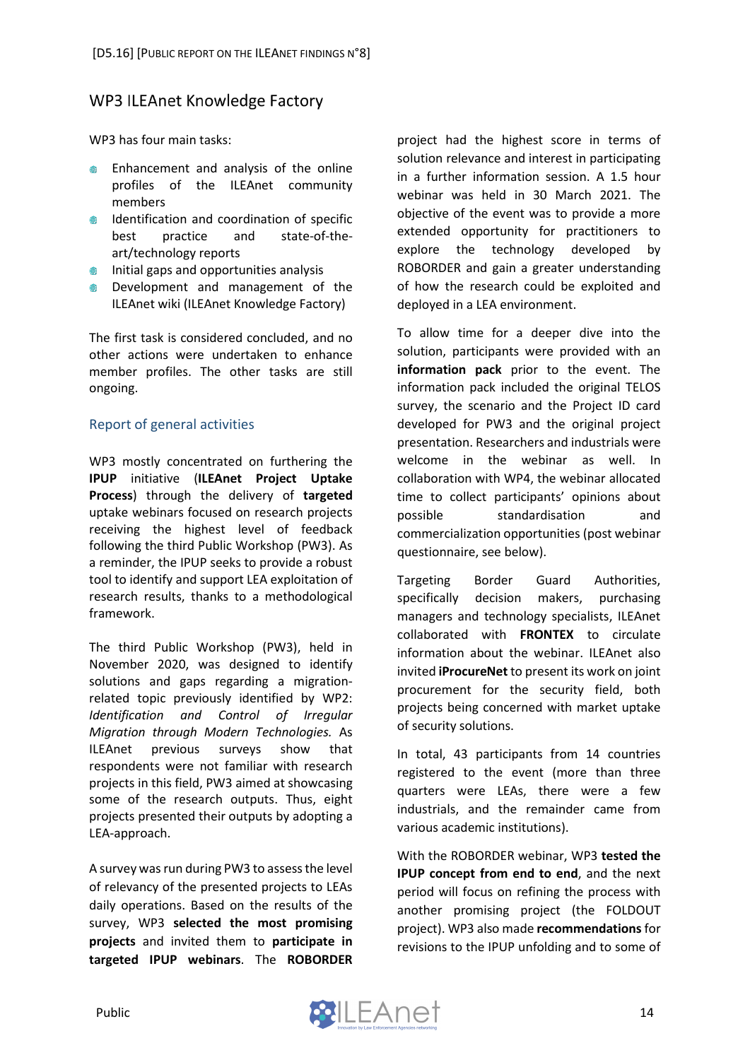### <span id="page-14-0"></span>**WP3 ILEAnet Knowledge Factory**

WP3 has four main tasks:

- Enhancement and analysis of the online profiles of the ILEAnet community members
- **IDENTIFICATION AND COORDINATION OF SPECIFIC** best practice and state-of-theart/technology reports
- $\bullet$  Initial gaps and opportunities analysis
- **EXEC** Development and management of the ILEAnet wiki (ILEAnet Knowledge Factory)

The first task is considered concluded, and no other actions were undertaken to enhance member profiles. The other tasks are still ongoing.

#### <span id="page-14-1"></span>Report of general activities

WP3 mostly concentrated on furthering the **IPUP** initiative (**ILEAnet Project Uptake Process**) through the delivery of **targeted** uptake webinars focused on research projects receiving the highest level of feedback following the third Public Workshop (PW3). As a reminder, the IPUP seeks to provide a robust tool to identify and support LEA exploitation of research results, thanks to a methodological framework.

The third Public Workshop (PW3), held in November 2020, was designed to identify solutions and gaps regarding a migrationrelated topic previously identified by WP2: *Identification and Control of Irregular Migration through Modern Technologies.* As ILEAnet previous surveys show that respondents were not familiar with research projects in this field, PW3 aimed at showcasing some of the research outputs. Thus, eight projects presented their outputs by adopting a LEA-approach.

A survey was run during PW3 to assess the level of relevancy of the presented projects to LEAs daily operations. Based on the results of the survey, WP3 **selected the most promising projects** and invited them to **participate in targeted IPUP webinars**. The **ROBORDER** project had the highest score in terms of solution relevance and interest in participating in a further information session. A 1.5 hour webinar was held in 30 March 2021. The objective of the event was to provide a more extended opportunity for practitioners to explore the technology developed by ROBORDER and gain a greater understanding of how the research could be exploited and deployed in a LEA environment.

To allow time for a deeper dive into the solution, participants were provided with an **information pack** prior to the event. The information pack included the original TELOS survey, the scenario and the Project ID card developed for PW3 and the original project presentation. Researchers and industrials were welcome in the webinar as well. In collaboration with WP4, the webinar allocated time to collect participants' opinions about possible standardisation and commercialization opportunities (post webinar questionnaire, see below).

Targeting Border Guard Authorities, specifically decision makers, purchasing managers and technology specialists, ILEAnet collaborated with **FRONTEX** to circulate information about the webinar. ILEAnet also invited **iProcureNet** to present its work on joint procurement for the security field, both projects being concerned with market uptake of security solutions.

In total, 43 participants from 14 countries registered to the event (more than three quarters were LEAs, there were a few industrials, and the remainder came from various academic institutions).

With the ROBORDER webinar, WP3 **tested the IPUP concept from end to end**, and the next period will focus on refining the process with another promising project (the FOLDOUT project). WP3 also made **recommendations**for revisions to the IPUP unfolding and to some of

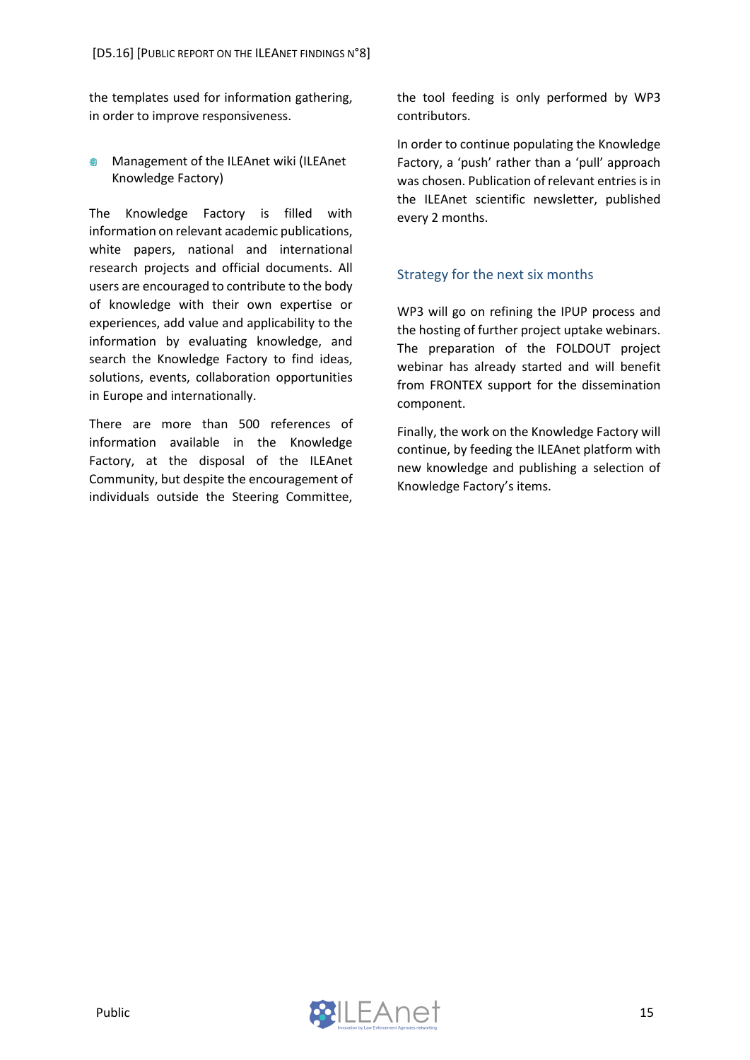the templates used for information gathering, in order to improve responsiveness.

**Management of the ILEAnet wiki (ILEAnet** Knowledge Factory)

The Knowledge Factory is filled with information on relevant academic publications, white papers, national and international research projects and official documents. All users are encouraged to contribute to the body of knowledge with their own expertise or experiences, add value and applicability to the information by evaluating knowledge, and search the Knowledge Factory to find ideas, solutions, events, collaboration opportunities in Europe and internationally.

There are more than 500 references of information available in the Knowledge Factory, at the disposal of the ILEAnet Community, but despite the encouragement of individuals outside the Steering Committee, the tool feeding is only performed by WP3 contributors.

In order to continue populating the Knowledge Factory, a 'push' rather than a 'pull' approach was chosen. Publication of relevant entries is in the ILEAnet scientific newsletter, published every 2 months.

#### <span id="page-15-0"></span>Strategy for the next six months

WP3 will go on refining the IPUP process and the hosting of further project uptake webinars. The preparation of the FOLDOUT project webinar has already started and will benefit from FRONTEX support for the dissemination component.

Finally, the work on the Knowledge Factory will continue, by feeding the ILEAnet platform with new knowledge and publishing a selection of Knowledge Factory's items.

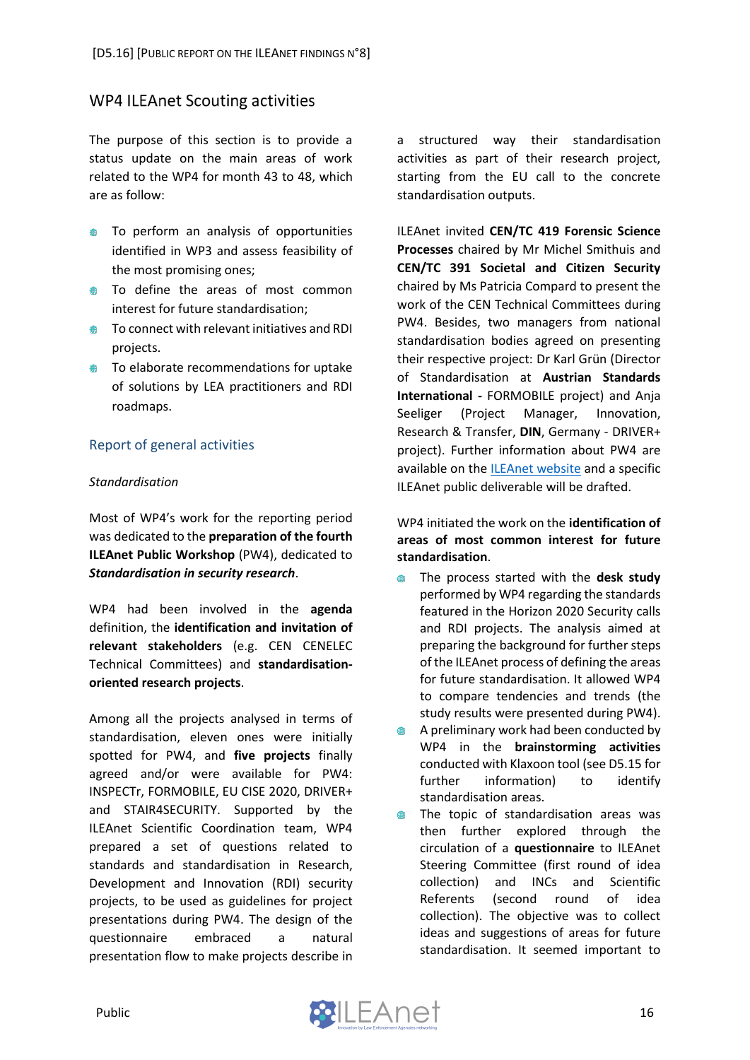### <span id="page-16-0"></span>**WP4 ILEAnet Scouting activities**

The purpose of this section is to provide a status update on the main areas of work related to the WP4 for month 43 to 48, which are as follow:

- **To perform an analysis of opportunities** identified in WP3 and assess feasibility of the most promising ones;
- $\bullet$  To define the areas of most common interest for future standardisation;
- **●** To connect with relevant initiatives and RDI projects.
- **●** To elaborate recommendations for uptake of solutions by LEA practitioners and RDI roadmaps.

#### <span id="page-16-1"></span>Report of general activities

#### *Standardisation*

Most of WP4's work for the reporting period was dedicated to the **preparation of the fourth ILEAnet Public Workshop** (PW4), dedicated to *Standardisation in security research*.

WP4 had been involved in the **agenda** definition, the **identification and invitation of relevant stakeholders** (e.g. CEN CENELEC Technical Committees) and **standardisationoriented research projects**.

Among all the projects analysed in terms of standardisation, eleven ones were initially spotted for PW4, and **five projects** finally agreed and/or were available for PW4: INSPECTr, FORMOBILE, EU CISE 2020, DRIVER+ and STAIR4SECURITY. Supported by the ILEAnet Scientific Coordination team, WP4 prepared a set of questions related to standards and standardisation in Research, Development and Innovation (RDI) security projects, to be used as guidelines for project presentations during PW4. The design of the questionnaire embraced a natural presentation flow to make projects describe in a structured way their standardisation activities as part of their research project, starting from the EU call to the concrete standardisation outputs.

ILEAnet invited **CEN/TC 419 Forensic Science Processes** chaired by Mr Michel Smithuis and **CEN/TC 391 Societal and Citizen Security** chaired by Ms Patricia Compard to present the work of the CEN Technical Committees during PW4. Besides, two managers from national standardisation bodies agreed on presenting their respective project: Dr Karl Grün (Director of Standardisation at **Austrian Standards International -** FORMOBILE project) and Anja Seeliger (Project Manager, Innovation, Research & Transfer, **DIN**, Germany - DRIVER+ project). Further information about PW4 are available on the [ILEAnet website](https://www.ileanet.eu/news/news-events/tx_news/ileanet-public-workshop-4-on-standardisation-in-security-research/?tx_news_pi1%5Bcontroller%5D=News&tx_news_pi1%5Baction%5D=detail&cHash=18a67a4c8aa0ce4001165929ff31a322) and a specific ILEAnet public deliverable will be drafted.

WP4 initiated the work on the **identification of areas of most common interest for future standardisation**.

- $\blacksquare$ The process started with the **desk study** performed by WP4 regarding the standards featured in the Horizon 2020 Security calls and RDI projects. The analysis aimed at preparing the background for further steps of the ILEAnet process of defining the areas for future standardisation. It allowed WP4 to compare tendencies and trends (the study results were presented during PW4).
- A preliminary work had been conducted by ⊕ WP4 in the **brainstorming activities** conducted with Klaxoon tool (see D5.15 for further information) to identify standardisation areas.
- The topic of standardisation areas was ● then further explored through the circulation of a **questionnaire** to ILEAnet Steering Committee (first round of idea collection) and INCs and Scientific Referents (second round of idea collection). The objective was to collect ideas and suggestions of areas for future standardisation. It seemed important to

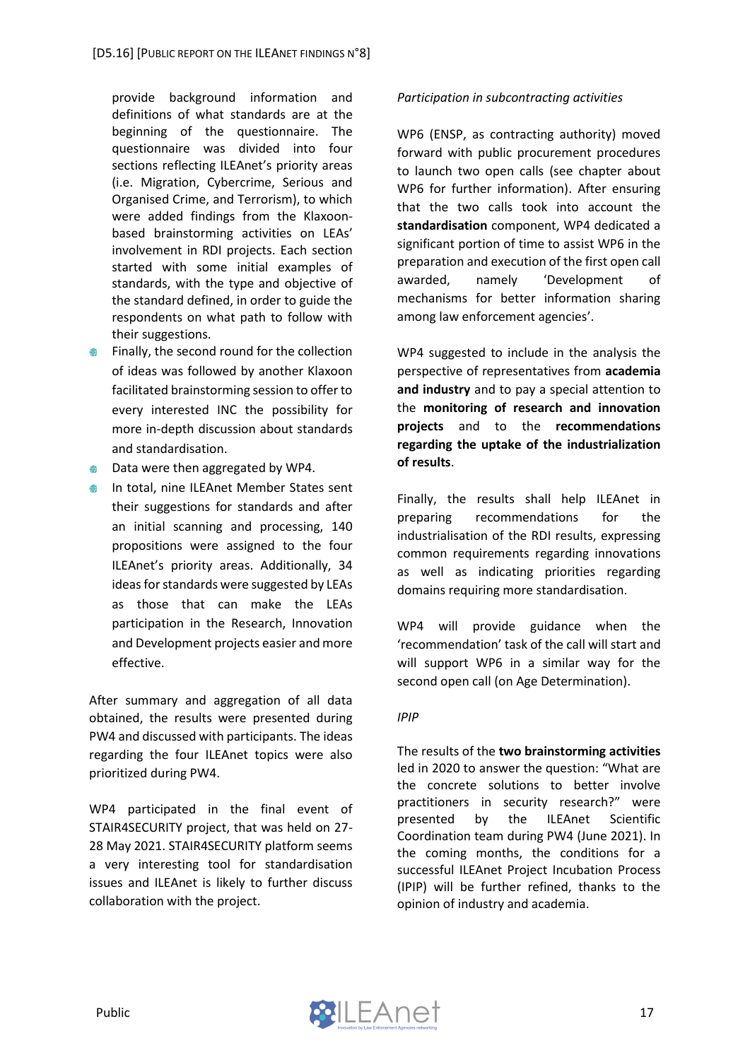provide background information and definitions of what standards are at the beginning of the questionnaire. The questionnaire was divided into four sections reflecting ILEAnet's priority areas (i.e. Migration, Cybercrime, Serious and Organised Crime, and Terrorism), to which were added findings from the Klaxoonbased brainstorming activities on LEAs' involvement in RDI projects. Each section started with some initial examples of standards, with the type and objective of the standard defined, in order to guide the respondents on what path to follow with their suggestions.

- Finally, the second round for the collection  $\oplus$ of ideas was followed by another Klaxoon facilitated brainstorming session to offer to every interested INC the possibility for more in-depth discussion about standards and standardisation.
- **●** Data were then aggregated by WP4.
- **In total, nine ILEAnet Member States sent** their suggestions for standards and after an initial scanning and processing, 140 propositions were assigned to the four ILEAnet's priority areas. Additionally, 34 ideas for standards were suggested by LEAs as those that can make the LEAs participation in the Research, Innovation and Development projects easier and more effective.

After summary and aggregation of all data obtained, the results were presented during PW4 and discussed with participants. The ideas regarding the four ILEAnet topics were also prioritized during PW4.

WP4 participated in the final event of STAIR4SECURITY project, that was held on 27- 28 May 2021. STAIR4SECURITY platform seems a very interesting tool for standardisation issues and ILEAnet is likely to further discuss collaboration with the project.

#### *Participation in subcontracting activities*

WP6 (ENSP, as contracting authority) moved forward with public procurement procedures to launch two open calls (see chapter about WP6 for further information). After ensuring that the two calls took into account the **standardisation** component, WP4 dedicated a significant portion of time to assist WP6 in the preparation and execution of the first open call awarded, namely 'Development of mechanisms for better information sharing among law enforcement agencies'.

WP4 suggested to include in the analysis the perspective of representatives from **academia and industry** and to pay a special attention to the **monitoring of research and innovation projects** and to the **recommendations regarding the uptake of the industrialization of results**.

Finally, the results shall help ILEAnet in preparing recommendations for the industrialisation of the RDI results, expressing common requirements regarding innovations as well as indicating priorities regarding domains requiring more standardisation.

WP4 will provide guidance when the 'recommendation' task of the call will start and will support WP6 in a similar way for the second open call (on Age Determination).

#### *IPIP*

The results of the **two brainstorming activities**  led in 2020 to answer the question: "What are the concrete solutions to better involve practitioners in security research?" were presented by the ILEAnet Scientific Coordination team during PW4 (June 2021). In the coming months, the conditions for a successful ILEAnet Project Incubation Process (IPIP) will be further refined, thanks to the opinion of industry and academia.

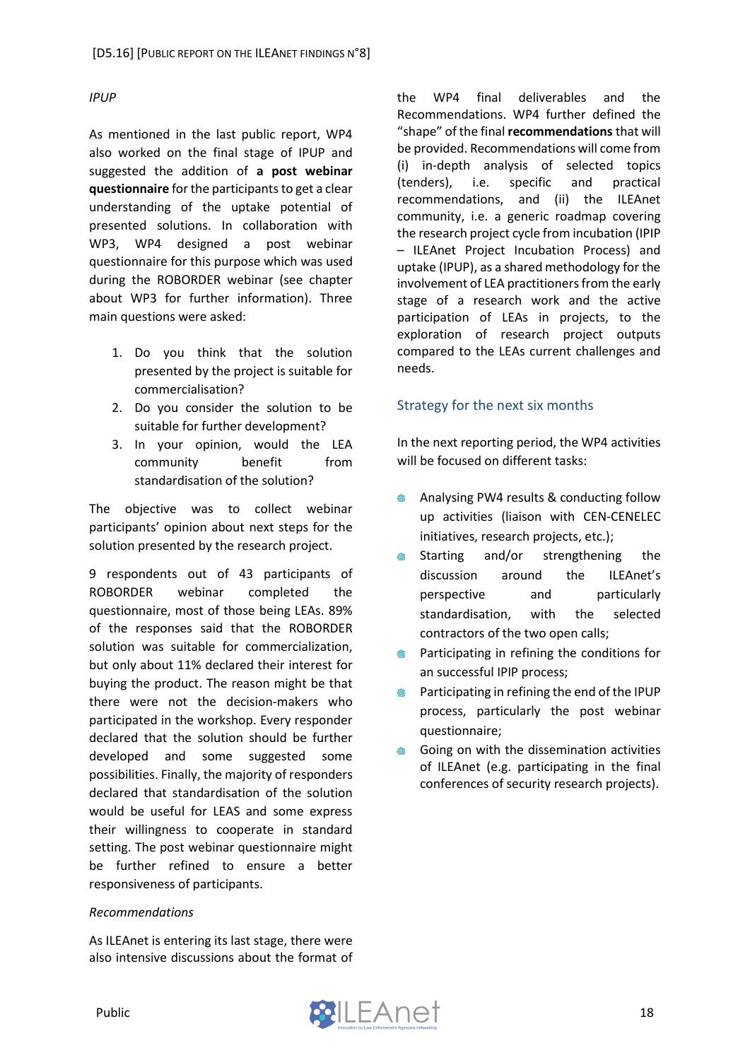#### *IPUP*

As mentioned in the last public report, WP4 also worked on the final stage of IPUP and suggested the addition of **a post webinar questionnaire** for the participants to get a clear understanding of the uptake potential of presented solutions. In collaboration with WP3, WP4 designed a post webinar questionnaire for this purpose which was used during the ROBORDER webinar (see chapter about WP3 for further information). Three main questions were asked:

- 1. Do you think that the solution presented by the project is suitable for commercialisation?
- 2. Do you consider the solution to be suitable for further development?
- 3. In your opinion, would the LEA community benefit from standardisation of the solution?

The objective was to collect webinar participants' opinion about next steps for the solution presented by the research project.

9 respondents out of 43 participants of ROBORDER webinar completed the questionnaire, most of those being LEAs. 89% of the responses said that the ROBORDER solution was suitable for commercialization, but only about 11% declared their interest for buying the product. The reason might be that there were not the decision-makers who participated in the workshop. Every responder declared that the solution should be further developed and some suggested some possibilities. Finally, the majority of responders declared that standardisation of the solution would be useful for LEAS and some express their willingness to cooperate in standard setting. The post webinar questionnaire might be further refined to ensure a better responsiveness of participants.

#### *Recommendations*

As ILEAnet is entering its last stage, there were also intensive discussions about the format of the WP4 final deliverables and the Recommendations. WP4 further defined the "shape" of the final **recommendations** that will be provided. Recommendations will come from (i) in-depth analysis of selected topics (tenders), i.e. specific and practical recommendations, and (ii) the ILEAnet community, i.e. a generic roadmap covering the research project cycle from incubation (IPIP – ILEAnet Project Incubation Process) and uptake (IPUP), as a shared methodology for the involvement of LEA practitioners from the early stage of a research work and the active participation of LEAs in projects, to the exploration of research project outputs compared to the LEAs current challenges and needs.

#### <span id="page-18-0"></span>Strategy for the next six months

In the next reporting period, the WP4 activities will be focused on different tasks:

- Analysing PW4 results & conducting follow up activities (liaison with CEN-CENELEC initiatives, research projects, etc.);
- Starting and/or strengthening the discussion around the ILEAnet's perspective and particularly standardisation, with the selected contractors of the two open calls;
- Participating in refining the conditions for an successful IPIP process;
- Participating in refining the end of the IPUP process, particularly the post webinar questionnaire;
- Going on with the dissemination activities  $\oplus$ of ILEAnet (e.g. participating in the final conferences of security research projects).

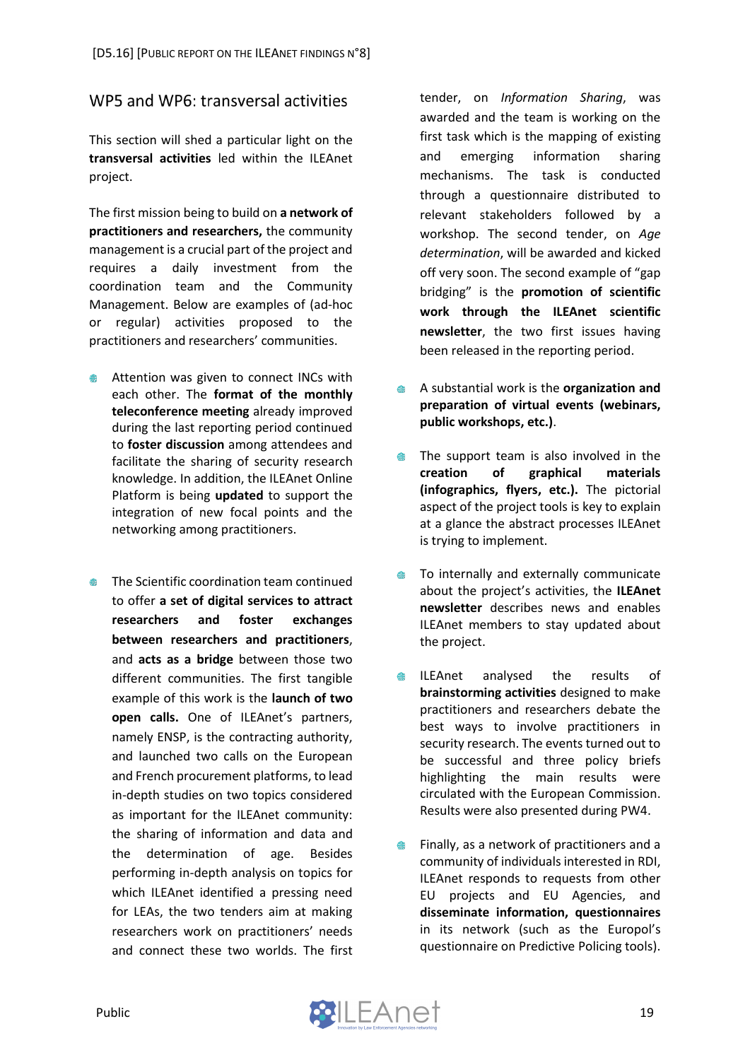### <span id="page-19-0"></span>WP5 and WP6: transversal activities

This section will shed a particular light on the **transversal activities** led within the ILEAnet project.

The first mission being to build on **a network of practitioners and researchers,** the community management is a crucial part of the project and requires a daily investment from the coordination team and the Community Management. Below are examples of (ad-hoc or regular) activities proposed to the practitioners and researchers' communities.

- Attention was given to connect INCs with each other. The **format of the monthly teleconference meeting** already improved during the last reporting period continued to **foster discussion** among attendees and facilitate the sharing of security research knowledge. In addition, the ILEAnet Online Platform is being **updated** to support the integration of new focal points and the networking among practitioners.
- The Scientific coordination team continued to offer **a set of digital services to attract researchers and foster exchanges between researchers and practitioners**, and **acts as a bridge** between those two different communities. The first tangible example of this work is the **launch of two open calls.** One of ILEAnet's partners, namely ENSP, is the contracting authority, and launched two calls on the European and French procurement platforms, to lead in-depth studies on two topics considered as important for the ILEAnet community: the sharing of information and data and the determination of age. Besides performing in-depth analysis on topics for which ILEAnet identified a pressing need for LEAs, the two tenders aim at making researchers work on practitioners' needs and connect these two worlds. The first

tender, on *Information Sharing*, was awarded and the team is working on the first task which is the mapping of existing and emerging information sharing mechanisms. The task is conducted through a questionnaire distributed to relevant stakeholders followed by a workshop. The second tender, on *Age determination*, will be awarded and kicked off very soon. The second example of "gap bridging" is the **promotion of scientific work through the ILEAnet scientific newsletter**, the two first issues having been released in the reporting period.

- A substantial work is the **organization and**   $\qquad \qquad \oplus$ **preparation of virtual events (webinars, public workshops, etc.)**.
- The support team is also involved in the  $\oplus$ **creation of graphical materials (infographics, flyers, etc.).** The pictorial aspect of the project tools is key to explain at a glance the abstract processes ILEAnet is trying to implement.
- To internally and externally communicate  $\oplus$ about the project's activities, the **ILEAnet newsletter** describes news and enables ILEAnet members to stay updated about the project.
- ILEAnet analysed the results of ● **brainstorming activities** designed to make practitioners and researchers debate the best ways to involve practitioners in security research. The events turned out to be successful and three policy briefs highlighting the main results were circulated with the European Commission. Results were also presented during PW4.
- Finally, as a network of practitioners and a community of individuals interested in RDI, ILEAnet responds to requests from other EU projects and EU Agencies, and **disseminate information, questionnaires** in its network (such as the Europol's questionnaire on Predictive Policing tools).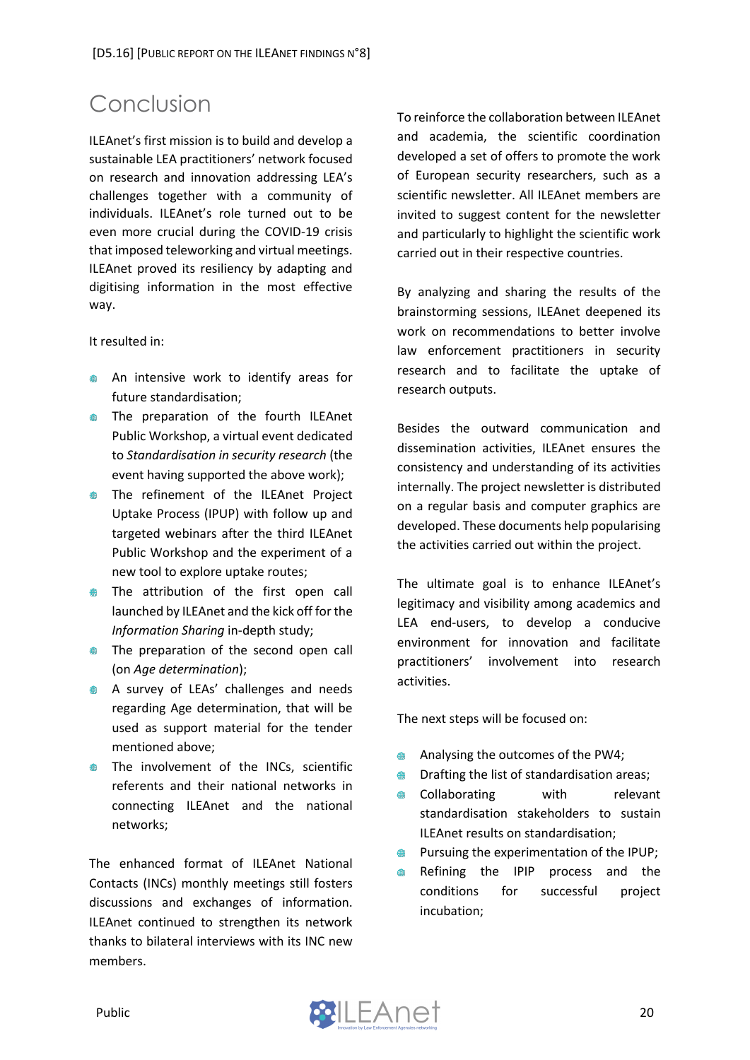# <span id="page-20-0"></span>Conclusion

ILEAnet's first mission is to build and develop a sustainable LEA practitioners' network focused on research and innovation addressing LEA's challenges together with a community of individuals. ILEAnet's role turned out to be even more crucial during the COVID-19 crisis that imposed teleworking and virtual meetings. ILEAnet proved its resiliency by adapting and digitising information in the most effective way.

It resulted in:

- An intensive work to identify areas for future standardisation;
- **The preparation of the fourth ILEAnet** Public Workshop, a virtual event dedicated to *Standardisation in security research* (the event having supported the above work);
- **The refinement of the ILEAnet Project** Uptake Process (IPUP) with follow up and targeted webinars after the third ILEAnet Public Workshop and the experiment of a new tool to explore uptake routes;
- The attribution of the first open call launched by ILEAnet and the kick off for the *Information Sharing* in-depth study;
- The preparation of the second open call (on *Age determination*);
- A survey of LEAs' challenges and needs regarding Age determination, that will be used as support material for the tender mentioned above;
- **The involvement of the INCs, scientific** referents and their national networks in connecting ILEAnet and the national networks;

The enhanced format of ILEAnet National Contacts (INCs) monthly meetings still fosters discussions and exchanges of information. ILEAnet continued to strengthen its network thanks to bilateral interviews with its INC new members.

To reinforce the collaboration between ILEAnet and academia, the scientific coordination developed a set of offers to promote the work of European security researchers, such as a scientific newsletter. All ILEAnet members are invited to suggest content for the newsletter and particularly to highlight the scientific work carried out in their respective countries.

By analyzing and sharing the results of the brainstorming sessions, ILEAnet deepened its work on recommendations to better involve law enforcement practitioners in security research and to facilitate the uptake of research outputs.

Besides the outward communication and dissemination activities, ILEAnet ensures the consistency and understanding of its activities internally. The project newsletter is distributed on a regular basis and computer graphics are developed. These documents help popularising the activities carried out within the project.

The ultimate goal is to enhance ILEAnet's legitimacy and visibility among academics and LEA end-users, to develop a conducive environment for innovation and facilitate practitioners' involvement into research activities.

The next steps will be focused on:

- Analysing the outcomes of the PW4;
- Drafting the list of standardisation areas;  $\oplus$
- Collaborating with relevant  $\qquad \qquad \oplus$ standardisation stakeholders to sustain ILEAnet results on standardisation;
- Pursuing the experimentation of the IPUP; ●
- Refining the IPIP process and the conditions for successful project incubation;